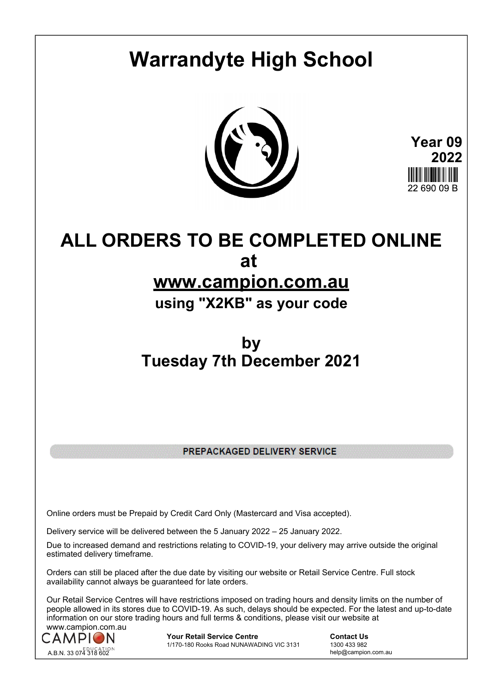# **Warrandyte High School**



**Year 09 2022** 22 GQN NQ R

## **ALL ORDERS TO BE COMPLETED ONLINE at**

### **www.campion.com.au**

### **using "X2KB" as your code**

## **by Tuesday 7th December 2021**

PREPACKAGED DELIVERY SERVICE

Online orders must be Prepaid by Credit Card Only (Mastercard and Visa accepted).

Delivery service will be delivered between the 5 January 2022 – 25 January 2022.

Due to increased demand and restrictions relating to COVID-19, your delivery may arrive outside the original estimated delivery timeframe.

Orders can still be placed after the due date by visiting our website or Retail Service Centre. Full stock availability cannot always be guaranteed for late orders.

Our Retail Service Centres will have restrictions imposed on trading hours and density limits on the number of people allowed in its stores due to COVID-19. As such, delays should be expected. For the latest and up-to-date information on our store trading hours and full terms & conditions, please visit our website at www.campion.com.au



**Your Retail Service Centre Contact Us**<br>
1770-180 Rooks Road NUNAWADING VIC 3131
1300 433 982 1/170-180 Rooks Road NUNAWADING VIC 3131

help@campion.com.au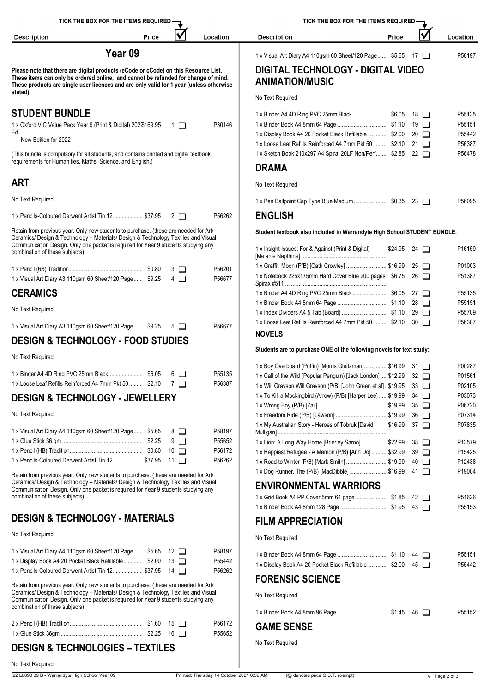| TICK THE BOX FOR THE ITEMS REQUIRED -                                                                                                                                                                                                                                                              |            |                                           | TICK THE BOX FOR THE ITEMS REQUIRED -                                                                                                  |                    |             |                  |
|----------------------------------------------------------------------------------------------------------------------------------------------------------------------------------------------------------------------------------------------------------------------------------------------------|------------|-------------------------------------------|----------------------------------------------------------------------------------------------------------------------------------------|--------------------|-------------|------------------|
| <b>Description</b><br>Price                                                                                                                                                                                                                                                                        | V          | Location                                  | Description                                                                                                                            | Price              | V           | Location         |
| Year <sub>09</sub>                                                                                                                                                                                                                                                                                 |            |                                           | 1 x Visual Art Diary A4 110gsm 60 Sheet/120 Page \$5.65 17                                                                             |                    |             | P58197           |
| Please note that there are digital products (eCode or cCode) on this Resource List.<br>These items can only be ordered online, and cannot be refunded for change of mind.<br>These products are single user licences and are only valid for 1 year (unless otherwise<br>stated).                   |            |                                           | <b>DIGITAL TECHNOLOGY - DIGITAL VIDEO</b><br><b>ANIMATION/MUSIC</b><br>No Text Required                                                |                    |             |                  |
| <b>STUDENT BUNDLE</b>                                                                                                                                                                                                                                                                              |            |                                           |                                                                                                                                        |                    |             | P55135           |
| 1 x Oxford VIC Value Pack Year 9 (Print & Digital) 202\$169.95 1                                                                                                                                                                                                                                   |            | P30146                                    | 1 x Display Book A4 20 Pocket Black Refillable \$2.00 20                                                                               |                    |             | P55151<br>P55442 |
| New Edition for 2022<br>(This bundle is compulsory for all students, and contains printed and digital textbook                                                                                                                                                                                     |            |                                           | 1 x Loose Leaf Refills Reinforced A4 7mm Pkt 50  \$2.10 21<br>1 x Sketch Book 210x297 A4 Spiral 20LF Non/Perf \$2.85 22                |                    |             | P56387<br>P56478 |
| requirements for Humanities, Maths, Science, and English.)                                                                                                                                                                                                                                         |            |                                           | <b>DRAMA</b>                                                                                                                           |                    |             |                  |
| <b>ART</b>                                                                                                                                                                                                                                                                                         |            |                                           | No Text Required                                                                                                                       |                    |             |                  |
| No Text Required                                                                                                                                                                                                                                                                                   |            |                                           |                                                                                                                                        |                    |             | P56095           |
| 1 x Pencils-Coloured Derwent Artist Tin 12 \$37.95 2                                                                                                                                                                                                                                               |            | P56262                                    | <b>ENGLISH</b>                                                                                                                         |                    |             |                  |
| Retain from previous year. Only new students to purchase. (these are needed for Art/<br>Ceramics/ Design & Technology - Materials/ Design & Technology Textiles and Visual<br>Communication Design. Only one packet is required for Year 9 students studying any<br>combination of these subjects) |            |                                           | Student textbook also included in Warrandyte High School STUDENT BUNDLE.<br>1 x Insight Issues: For & Against (Print & Digital)        | $$24.95$ 24 $\Box$ |             | P16159           |
|                                                                                                                                                                                                                                                                                                    | 3 ⊔        | P56201                                    | 1 x Graffiti Moon (P/B) [Cath Crowley]  \$16.99 25                                                                                     |                    |             | P01003           |
| 1 x Visual Art Diary A3 110gsm 60 Sheet/120 Page  \$9.25                                                                                                                                                                                                                                           | 4 O        | P56677                                    | 1 x Notebook 225x175mm Hard Cover Blue 200 pages \$6.75 26                                                                             |                    |             | P51387           |
| <b>CERAMICS</b>                                                                                                                                                                                                                                                                                    |            |                                           |                                                                                                                                        |                    |             | P55135<br>P55151 |
| No Text Required                                                                                                                                                                                                                                                                                   |            |                                           |                                                                                                                                        |                    |             | P55709           |
| 1 x Visual Art Diary A3 110gsm 60 Sheet/120 Page  \$9.25 5                                                                                                                                                                                                                                         |            | P56677                                    | 1 x Loose Leaf Refills Reinforced A4 7mm Pkt 50  \$2.10 30<br><b>NOVELS</b>                                                            |                    |             | P56387           |
| <b>DESIGN &amp; TECHNOLOGY - FOOD STUDIES</b>                                                                                                                                                                                                                                                      |            |                                           | Students are to purchase ONE of the following novels for text study:                                                                   |                    |             |                  |
| No Text Required                                                                                                                                                                                                                                                                                   |            |                                           | 1 x Boy Overboard (Puffin) [Morris Gleitzman] \$16.99 31                                                                               |                    |             | P00287           |
| 1 x Loose Leaf Refills Reinforced A4 7mm Pkt 50  \$2.10 $\top$                                                                                                                                                                                                                                     |            | P55135<br>P56387                          | 1 x Call of the Wild (Popular Penguin) [Jack London]  \$12.99 32                                                                       |                    |             | P01561           |
| <b>DESIGN &amp; TECHNOLOGY - JEWELLERY</b>                                                                                                                                                                                                                                                         |            |                                           | 1 x Will Grayson Will Grayson (P/B) [John Green et al]. \$19.95 33<br>1 x To Kill a Mockingbird (Arrow) (P/B) [Harper Lee]  \$19.99 34 |                    |             | P02105<br>P03073 |
|                                                                                                                                                                                                                                                                                                    |            |                                           |                                                                                                                                        |                    |             | P06720           |
| No Text Required                                                                                                                                                                                                                                                                                   |            |                                           | 1 x My Australian Story - Heroes of Tobruk [David \$16.99 37                                                                           |                    |             | P07314<br>P07835 |
| 1 x Visual Art Diary A4 110gsm 60 Sheet/120 Page  \$5.65                                                                                                                                                                                                                                           | 8 ⊔        | P58197                                    |                                                                                                                                        |                    |             |                  |
|                                                                                                                                                                                                                                                                                                    | $9$ $\Box$ | P55652<br>P56172                          | 1 x Lion: A Long Way Home [Brierley Saroo] \$22.99 38<br>1 x Happiest Refugee - A Memoir (P/B) [Anh Do] \$32.99                        |                    | 39 <b>T</b> | P13579<br>P15425 |
| 1 x Pencils-Coloured Derwent Artist Tin 12 \$37.95 11                                                                                                                                                                                                                                              |            | P56262                                    | 1 x Road to Winter (P/B) [Mark Smith]  \$19.99 40                                                                                      |                    |             | P12438           |
| Retain from previous year. Only new students to purchase. (these are needed for Art/                                                                                                                                                                                                               |            |                                           | 1 x Dog Runner, The (P/B) [MacDibble] \$16.99 41                                                                                       |                    |             | P19004           |
| Ceramics/ Design & Technology - Materials/ Design & Technology Textiles and Visual<br>Communication Design. Only one packet is required for Year 9 students studying any                                                                                                                           |            |                                           | <b>ENVIRONMENTAL WARRIORS</b>                                                                                                          |                    |             |                  |
| combination of these subjects)                                                                                                                                                                                                                                                                     |            |                                           |                                                                                                                                        |                    |             | P51626           |
| <b>DESIGN &amp; TECHNOLOGY - MATERIALS</b>                                                                                                                                                                                                                                                         |            |                                           | <b>FILM APPRECIATION</b>                                                                                                               |                    |             | P55153           |
| No Text Required                                                                                                                                                                                                                                                                                   |            |                                           | No Text Required                                                                                                                       |                    |             |                  |
| 1 x Visual Art Diary A4 110gsm 60 Sheet/120 Page  \$5.65 12                                                                                                                                                                                                                                        |            | P58197                                    |                                                                                                                                        |                    |             |                  |
| 1 x Display Book A4 20 Pocket Black Refillable \$2.00 13                                                                                                                                                                                                                                           |            | P55442                                    | 1 x Display Book A4 20 Pocket Black Refillable \$2.00 45                                                                               |                    |             | P55151<br>P55442 |
| 1 x Pencils-Coloured Derwent Artist Tin 12 \$37.95 14                                                                                                                                                                                                                                              |            | P56262                                    | <b>FORENSIC SCIENCE</b>                                                                                                                |                    |             |                  |
| Retain from previous year. Only new students to purchase. (these are needed for Art/<br>Ceramics/ Design & Technology - Materials/ Design & Technology Textiles and Visual<br>Communication Design. Only one packet is required for Year 9 students studying any<br>combination of these subjects) |            |                                           | No Text Required                                                                                                                       |                    |             |                  |
|                                                                                                                                                                                                                                                                                                    |            |                                           |                                                                                                                                        |                    |             | P55152           |
|                                                                                                                                                                                                                                                                                                    |            | P56172<br>P55652                          | <b>GAME SENSE</b>                                                                                                                      |                    |             |                  |
| <b>DESIGN &amp; TECHNOLOGIES - TEXTILES</b>                                                                                                                                                                                                                                                        |            |                                           | No Text Required                                                                                                                       |                    |             |                  |
| No Text Required                                                                                                                                                                                                                                                                                   |            |                                           |                                                                                                                                        |                    |             |                  |
| 22 L0690 09 B - Warrandyte High School Year 09                                                                                                                                                                                                                                                     |            | Printed: Thursday 14 October 2021 6:56 AM | (@ denotes price G.S.T. exempt)                                                                                                        |                    |             | V1 Page 2 of 3   |